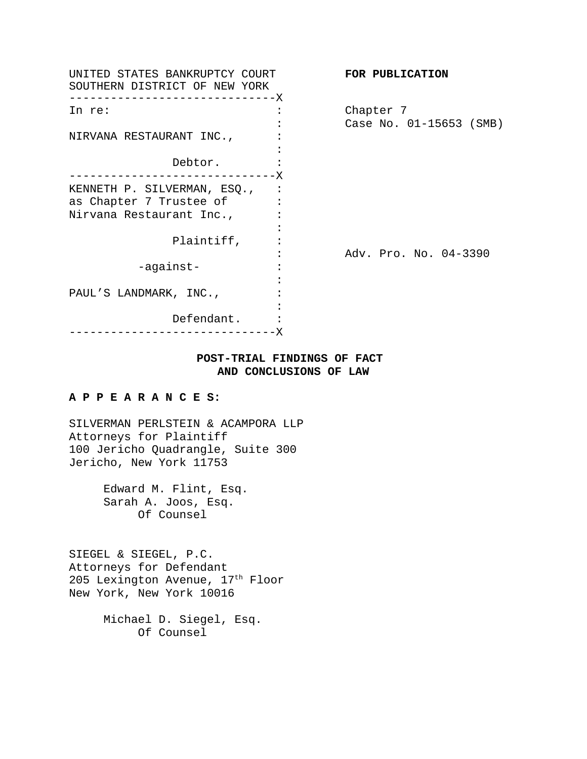| UNITED STATES BANKRUPTCY COURT<br>SOUTHERN DISTRICT OF NEW YORK<br>------------------------X |               | FOR PUBLICATION         |
|----------------------------------------------------------------------------------------------|---------------|-------------------------|
| In re:                                                                                       |               | Chapter 7               |
|                                                                                              |               | Case No. 01-15653 (SMB) |
| NIRVANA RESTAURANT INC.,                                                                     |               |                         |
|                                                                                              |               |                         |
| Debtor.                                                                                      |               |                         |
| ------------------------X                                                                    |               |                         |
| KENNETH P. SILVERMAN, ESQ.,                                                                  |               |                         |
| as Chapter 7 Trustee of                                                                      |               |                         |
| Nirvana Restaurant Inc.,                                                                     |               |                         |
|                                                                                              |               |                         |
| Plaintiff,                                                                                   |               |                         |
|                                                                                              |               | Adv. Pro. No. 04-3390   |
| -against-                                                                                    |               |                         |
|                                                                                              |               |                         |
| PAUL'S LANDMARK, INC.,                                                                       |               |                         |
|                                                                                              |               |                         |
| Defendant.                                                                                   |               |                         |
|                                                                                              | - – – – – – X |                         |

# **POST-TRIAL FINDINGS OF FACT AND CONCLUSIONS OF LAW**

### **A P P E A R A N C E S:**

SILVERMAN PERLSTEIN & ACAMPORA LLP Attorneys for Plaintiff 100 Jericho Quadrangle, Suite 300 Jericho, New York 11753

> Edward M. Flint, Esq. Sarah A. Joos, Esq. Of Counsel

SIEGEL & SIEGEL, P.C. Attorneys for Defendant 205 Lexington Avenue,  $17<sup>th</sup>$  Floor New York, New York 10016

> Michael D. Siegel, Esq. Of Counsel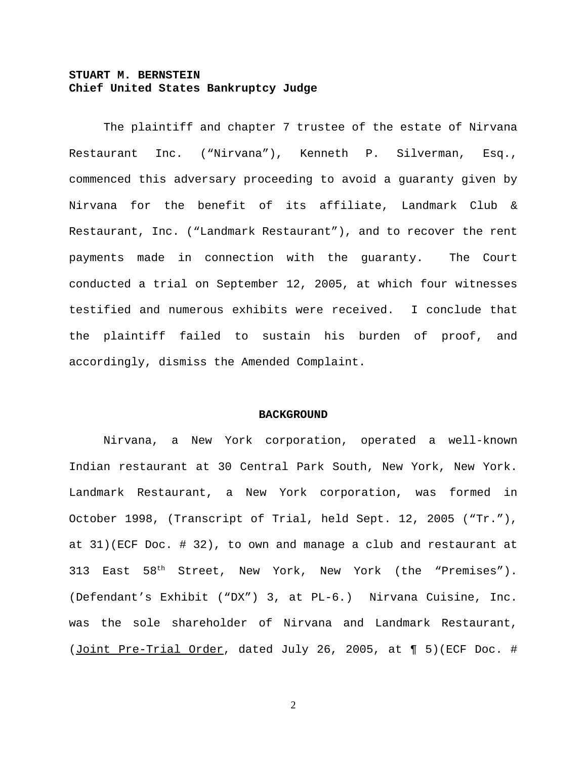# **STUART M. BERNSTEIN Chief United States Bankruptcy Judge**

The plaintiff and chapter 7 trustee of the estate of Nirvana Restaurant Inc. ("Nirvana"), Kenneth P. Silverman, Esq., commenced this adversary proceeding to avoid a guaranty given by Nirvana for the benefit of its affiliate, Landmark Club & Restaurant, Inc. ("Landmark Restaurant"), and to recover the rent payments made in connection with the guaranty. The Court conducted a trial on September 12, 2005, at which four witnesses testified and numerous exhibits were received. I conclude that the plaintiff failed to sustain his burden of proof, and accordingly, dismiss the Amended Complaint.

#### **BACKGROUND**

Nirvana, a New York corporation, operated a well-known Indian restaurant at 30 Central Park South, New York, New York. Landmark Restaurant, a New York corporation, was formed in October 1998, (Transcript of Trial, held Sept. 12, 2005 ("Tr."), at 31)(ECF Doc. # 32), to own and manage a club and restaurant at 313 East  $58<sup>th</sup>$  Street, New York, New York (the "Premises"). (Defendant's Exhibit ("DX") 3, at PL-6.) Nirvana Cuisine, Inc. was the sole shareholder of Nirvana and Landmark Restaurant, (Joint Pre-Trial Order, dated July 26, 2005, at ¶ 5)(ECF Doc. #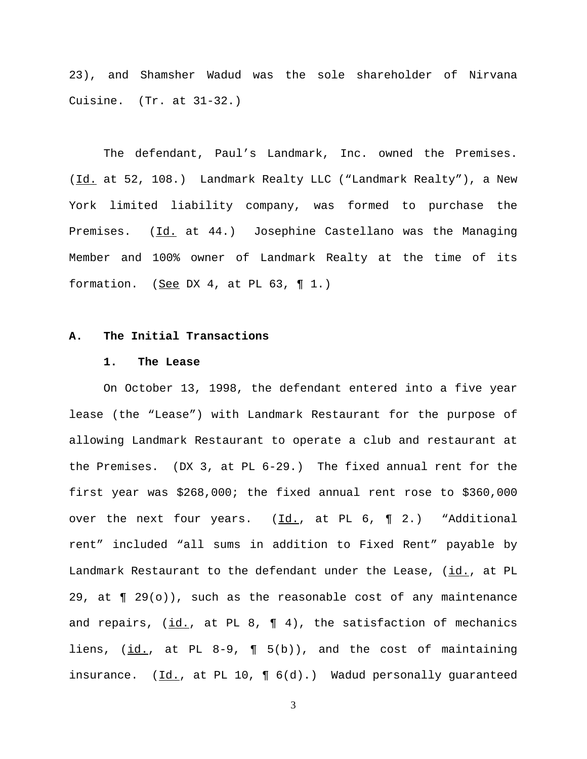23), and Shamsher Wadud was the sole shareholder of Nirvana Cuisine. (Tr. at 31-32.)

The defendant, Paul's Landmark, Inc. owned the Premises. (Id. at 52, 108.) Landmark Realty LLC ("Landmark Realty"), a New York limited liability company, was formed to purchase the Premises. (Id. at 44.) Josephine Castellano was the Managing Member and 100% owner of Landmark Realty at the time of its formation. (See DX 4, at PL 63,  $\P$  1.)

### **A. The Initial Transactions**

#### **1. The Lease**

On October 13, 1998, the defendant entered into a five year lease (the "Lease") with Landmark Restaurant for the purpose of allowing Landmark Restaurant to operate a club and restaurant at the Premises. (DX 3, at PL 6-29.) The fixed annual rent for the first year was \$268,000; the fixed annual rent rose to \$360,000 over the next four years. (Id., at PL 6,  $\P$  2.) "Additional rent" included "all sums in addition to Fixed Rent" payable by Landmark Restaurant to the defendant under the Lease, (id., at PL 29, at  $\P$  29(o)), such as the reasonable cost of any maintenance and repairs,  $(id., at PL 8, M 4)$ , the satisfaction of mechanics liens, (id., at PL 8-9, ¶ 5(b)), and the cost of maintaining insurance.  $(\underline{Id.}, \underline{at} \underline{PL} 10, \underline{M} 6(d).))$  Wadud personally guaranteed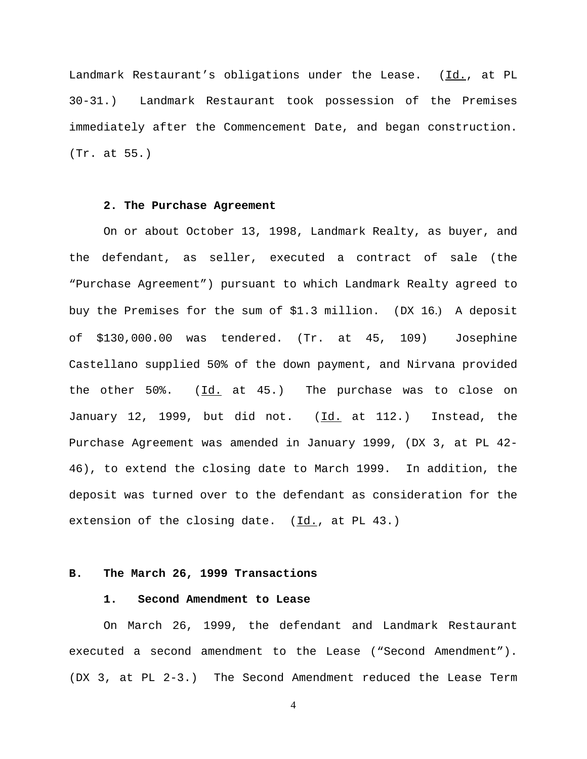Landmark Restaurant's obligations under the Lease. (Id., at PL 30-31.) Landmark Restaurant took possession of the Premises immediately after the Commencement Date, and began construction. (Tr. at 55.)

### **2. The Purchase Agreement**

On or about October 13, 1998, Landmark Realty, as buyer, and the defendant, as seller, executed a contract of sale (the "Purchase Agreement") pursuant to which Landmark Realty agreed to buy the Premises for the sum of \$1.3 million. (DX 16.) A deposit of \$130,000.00 was tendered. (Tr. at 45, 109) Josephine Castellano supplied 50% of the down payment, and Nirvana provided the other  $50\%$ . (Id. at  $45$ .) The purchase was to close on January 12, 1999, but did not. (Id. at 112.) Instead, the Purchase Agreement was amended in January 1999, (DX 3, at PL 42- 46), to extend the closing date to March 1999. In addition, the deposit was turned over to the defendant as consideration for the extension of the closing date.  $(\underline{Id.}, \underline{at.}$  PL 43.)

# **B. The March 26, 1999 Transactions**

#### **1. Second Amendment to Lease**

On March 26, 1999, the defendant and Landmark Restaurant executed a second amendment to the Lease ("Second Amendment"). (DX 3, at PL 2-3.) The Second Amendment reduced the Lease Term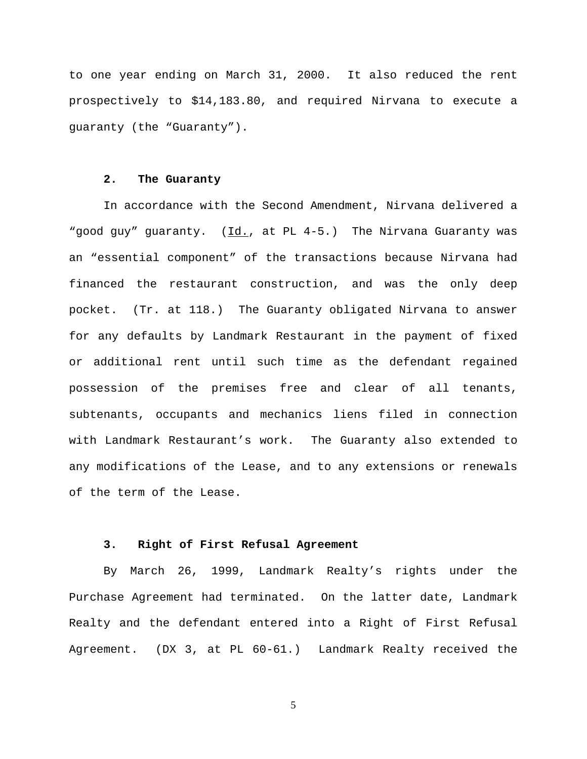to one year ending on March 31, 2000. It also reduced the rent prospectively to \$14,183.80, and required Nirvana to execute a guaranty (the "Guaranty").

#### **2. The Guaranty**

In accordance with the Second Amendment, Nirvana delivered a "good guy" guaranty. (Id., at PL 4-5.) The Nirvana Guaranty was an "essential component" of the transactions because Nirvana had financed the restaurant construction, and was the only deep pocket. (Tr. at 118.) The Guaranty obligated Nirvana to answer for any defaults by Landmark Restaurant in the payment of fixed or additional rent until such time as the defendant regained possession of the premises free and clear of all tenants, subtenants, occupants and mechanics liens filed in connection with Landmark Restaurant's work. The Guaranty also extended to any modifications of the Lease, and to any extensions or renewals of the term of the Lease.

# **3. Right of First Refusal Agreement**

By March 26, 1999, Landmark Realty's rights under the Purchase Agreement had terminated. On the latter date, Landmark Realty and the defendant entered into a Right of First Refusal Agreement. (DX 3, at PL 60-61.) Landmark Realty received the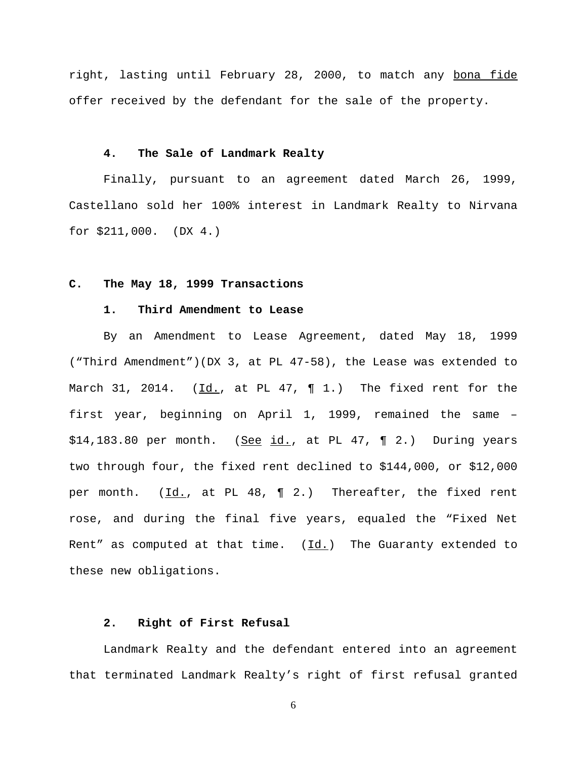right, lasting until February 28, 2000, to match any bona fide offer received by the defendant for the sale of the property.

# **4. The Sale of Landmark Realty**

Finally, pursuant to an agreement dated March 26, 1999, Castellano sold her 100% interest in Landmark Realty to Nirvana for \$211,000. (DX 4.)

### **C. The May 18, 1999 Transactions**

#### **1. Third Amendment to Lease**

By an Amendment to Lease Agreement, dated May 18, 1999 ("Third Amendment")(DX 3, at PL 47-58), the Lease was extended to March 31, 2014. ( $Id.$ , at PL 47,  $\P$  1.) The fixed rent for the first year, beginning on April 1, 1999, remained the same –  $$14,183.80$  per month. (See id., at PL 47, ¶ 2.) During years two through four, the fixed rent declined to \$144,000, or \$12,000 per month. (Id., at PL 48, ¶ 2.) Thereafter, the fixed rent rose, and during the final five years, equaled the "Fixed Net Rent" as computed at that time.  $(Id.)$  The Guaranty extended to these new obligations.

# **2. Right of First Refusal**

Landmark Realty and the defendant entered into an agreement that terminated Landmark Realty's right of first refusal granted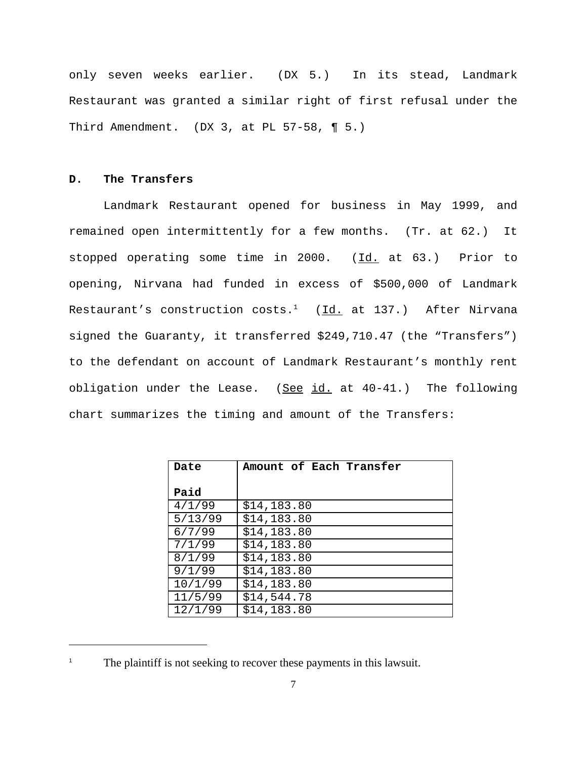only seven weeks earlier. (DX 5.) In its stead, Landmark Restaurant was granted a similar right of first refusal under the Third Amendment. (DX 3, at PL  $57-58$ , ¶ 5.)

# **D. The Transfers**

Landmark Restaurant opened for business in May 1999, and remained open intermittently for a few months. (Tr. at 62.) It stopped operating some time in 2000. (Id. at 63.) Prior to opening, Nirvana had funded in excess of \$500,000 of Landmark Restaurant's construction costs. $^1$   $( \underline{Id.}$  at  $137.)$  After Nirvana signed the Guaranty, it transferred \$249,710.47 (the "Transfers") to the defendant on account of Landmark Restaurant's monthly rent obligation under the Lease.  $(See id. at 40-41.)$  The following chart summarizes the timing and amount of the Transfers:

| Date    | Amount of Each Transfer |
|---------|-------------------------|
|         |                         |
| Paid    |                         |
| 4/1/99  | \$14,183.80             |
| 5/13/99 | \$14,183.80             |
| 6/7/99  | \$14,183.80             |
| 7/1/99  | \$14,183.80             |
| 8/1/99  | \$14,183.80             |
| 9/1/99  | \$14,183.80             |
| 10/1/99 | \$14,183.80             |
| 11/5/99 | \$14,544.78             |
| 12/1/99 | \$14,183.80             |

The plaintiff is not seeking to recover these payments in this lawsuit.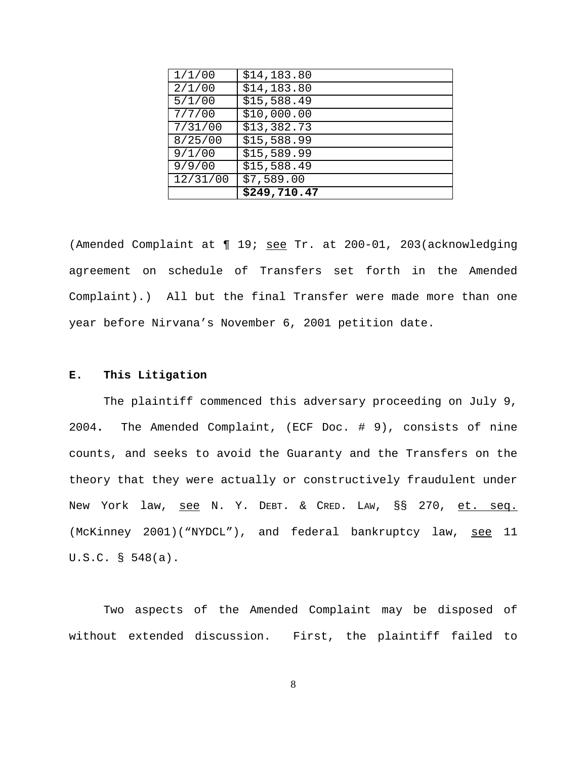| 1/1/00   | \$14,183.80  |
|----------|--------------|
| 2/1/00   | \$14,183.80  |
| 5/1/00   | \$15,588.49  |
| 7/7/00   | \$10,000.00  |
| 7/31/00  | \$13,382.73  |
| 8/25/00  | \$15,588.99  |
| 9/1/00   | \$15,589.99  |
| 9/9/00   | \$15,588.49  |
| 12/31/00 | \$7,589.00   |
|          | \$249,710.47 |

(Amended Complaint at ¶ 19; see Tr. at 200-01, 203(acknowledging agreement on schedule of Transfers set forth in the Amended Complaint).) All but the final Transfer were made more than one year before Nirvana's November 6, 2001 petition date.

# **E. This Litigation**

The plaintiff commenced this adversary proceeding on July 9, 2004**.** The Amended Complaint, (ECF Doc. # 9), consists of nine counts, and seeks to avoid the Guaranty and the Transfers on the theory that they were actually or constructively fraudulent under New York law, see N. Y. DEBT. & CRED. LAW, §§ 270, et. seq. (McKinney 2001)("NYDCL"), and federal bankruptcy law, see 11 U.S.C. § 548(a).

Two aspects of the Amended Complaint may be disposed of without extended discussion. First, the plaintiff failed to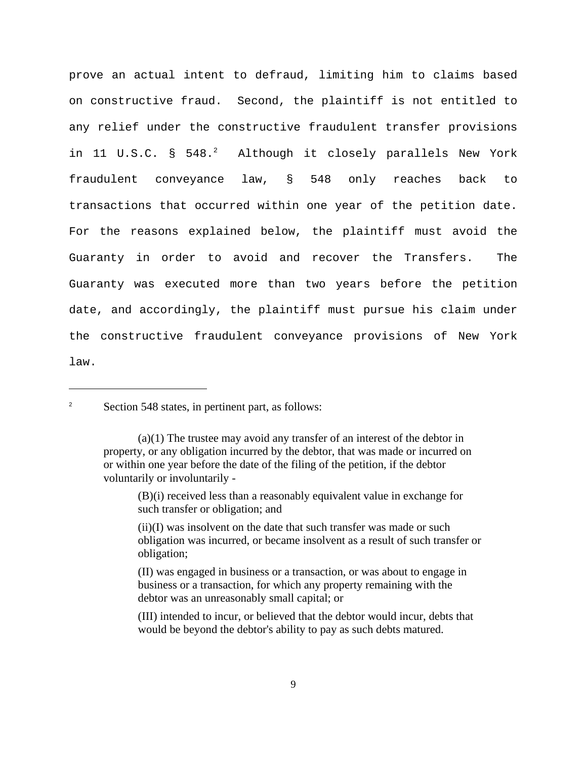prove an actual intent to defraud, limiting him to claims based on constructive fraud. Second, the plaintiff is not entitled to any relief under the constructive fraudulent transfer provisions in 11 U.S.C. § 548.<sup>2</sup> Although it closely parallels New York fraudulent conveyance law, § 548 only reaches back to transactions that occurred within one year of the petition date. For the reasons explained below, the plaintiff must avoid the Guaranty in order to avoid and recover the Transfers. The Guaranty was executed more than two years before the petition date, and accordingly, the plaintiff must pursue his claim under the constructive fraudulent conveyance provisions of New York law.

<sup>2</sup> Section 548 states, in pertinent part, as follows:

(B)(i) received less than a reasonably equivalent value in exchange for such transfer or obligation; and

<sup>(</sup>a)(1) The trustee may avoid any transfer of an interest of the debtor in property, or any obligation incurred by the debtor, that was made or incurred on or within one year before the date of the filing of the petition, if the debtor voluntarily or involuntarily -

<sup>(</sup>ii)(I) was insolvent on the date that such transfer was made or such obligation was incurred, or became insolvent as a result of such transfer or obligation;

 <sup>(</sup>II) was engaged in business or a transaction, or was about to engage in business or a transaction, for which any property remaining with the debtor was an unreasonably small capital; or

<sup>(</sup>III) intended to incur, or believed that the debtor would incur, debts that would be beyond the debtor's ability to pay as such debts matured.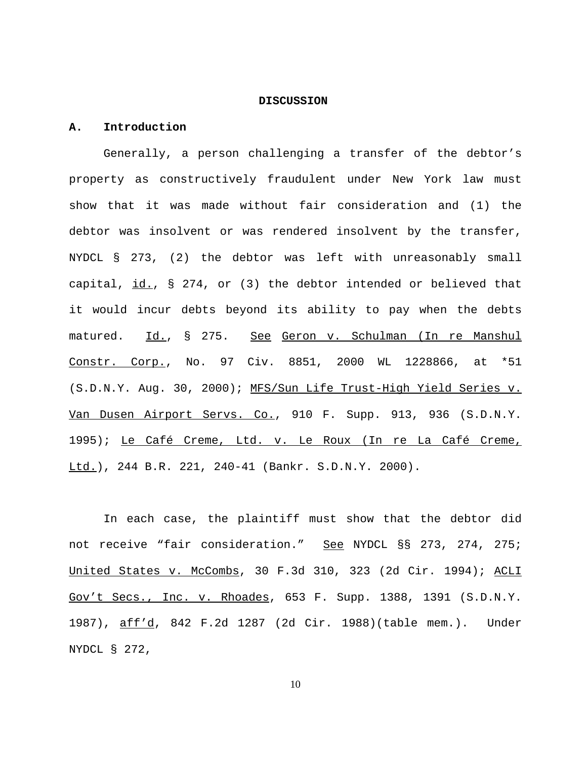#### **DISCUSSION**

#### **A. Introduction**

Generally, a person challenging a transfer of the debtor's property as constructively fraudulent under New York law must show that it was made without fair consideration and (1) the debtor was insolvent or was rendered insolvent by the transfer, NYDCL § 273, (2) the debtor was left with unreasonably small capital, id., § 274, or (3) the debtor intended or believed that it would incur debts beyond its ability to pay when the debts matured. Id., § 275. See Geron v. Schulman (In re Manshul Constr. Corp., No. 97 Civ. 8851, 2000 WL 1228866, at \*51 (S.D.N.Y. Aug. 30, 2000); MFS/Sun Life Trust-High Yield Series v. Van Dusen Airport Servs. Co., 910 F. Supp. 913, 936 (S.D.N.Y. 1995); Le Café Creme, Ltd. v. Le Roux (In re La Café Creme, Ltd.), 244 B.R. 221, 240-41 (Bankr. S.D.N.Y. 2000).

In each case, the plaintiff must show that the debtor did not receive "fair consideration." See NYDCL §§ 273, 274, 275; United States v. McCombs, 30 F.3d 310, 323 (2d Cir. 1994); ACLI Gov't Secs., Inc. v. Rhoades, 653 F. Supp. 1388, 1391 (S.D.N.Y. 1987), aff'd, 842 F.2d 1287 (2d Cir. 1988)(table mem.). Under NYDCL § 272,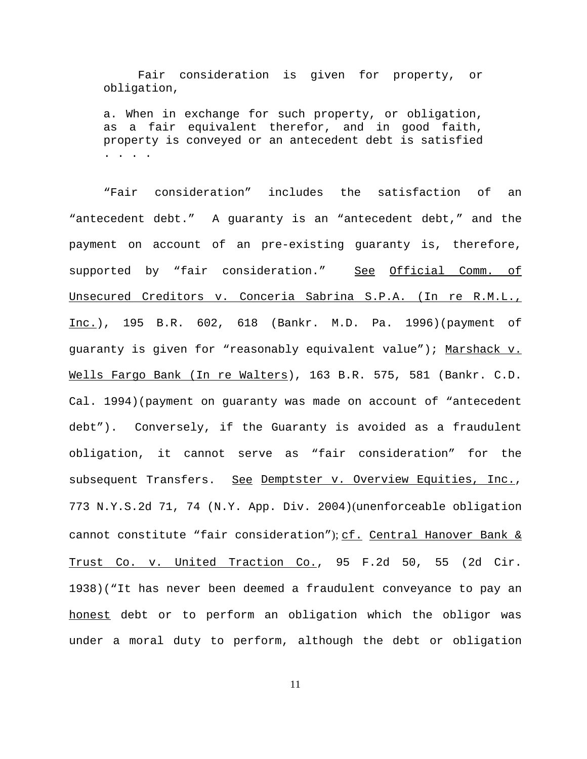Fair consideration is given for property, or obligation,

a. When in exchange for such property, or obligation, as a fair equivalent therefor, and in good faith, property is conveyed or an antecedent debt is satisfied . . . .

"Fair consideration" includes the satisfaction of an "antecedent debt." A guaranty is an "antecedent debt," and the payment on account of an pre-existing guaranty is, therefore, supported by "fair consideration." See Official Comm. of Unsecured Creditors v. Conceria Sabrina S.P.A. (In re R.M.L., Inc.), 195 B.R. 602, 618 (Bankr. M.D. Pa. 1996)(payment of guaranty is given for "reasonably equivalent value"); Marshack v. Wells Fargo Bank (In re Walters), 163 B.R. 575, 581 (Bankr. C.D. Cal. 1994)(payment on guaranty was made on account of "antecedent debt"). Conversely, if the Guaranty is avoided as a fraudulent obligation, it cannot serve as "fair consideration" for the subsequent Transfers. See Demptster v. Overview Equities, Inc., 773 N.Y.S.2d 71, 74 (N.Y. App. Div. 2004)(unenforceable obligation cannot constitute "fair consideration"); cf. Central Hanover Bank & Trust Co. v. United Traction Co., 95 F.2d 50, 55 (2d Cir. 1938)("It has never been deemed a fraudulent conveyance to pay an honest debt or to perform an obligation which the obligor was under a moral duty to perform, although the debt or obligation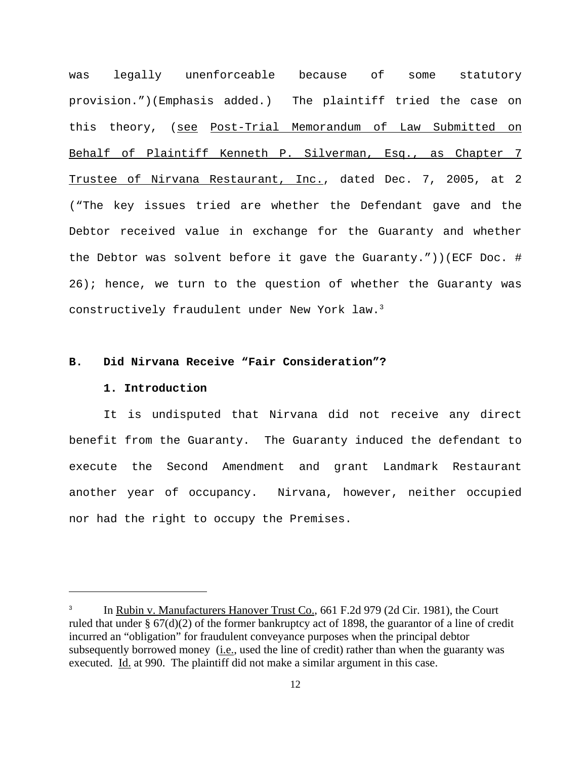was legally unenforceable because of some statutory provision.")(Emphasis added.) The plaintiff tried the case on this theory, (see Post-Trial Memorandum of Law Submitted on Behalf of Plaintiff Kenneth P. Silverman, Esq., as Chapter 7 Trustee of Nirvana Restaurant, Inc., dated Dec. 7, 2005, at 2 ("The key issues tried are whether the Defendant gave and the Debtor received value in exchange for the Guaranty and whether the Debtor was solvent before it gave the Guaranty."))(ECF Doc. # 26); hence, we turn to the question of whether the Guaranty was constructively fraudulent under New York law.3

### **B. Did Nirvana Receive "Fair Consideration"?**

#### **1. Introduction**

It is undisputed that Nirvana did not receive any direct benefit from the Guaranty. The Guaranty induced the defendant to execute the Second Amendment and grant Landmark Restaurant another year of occupancy. Nirvana, however, neither occupied nor had the right to occupy the Premises.

In Rubin v. Manufacturers Hanover Trust Co., 661 F.2d 979 (2d Cir. 1981), the Court ruled that under § 67(d)(2) of the former bankruptcy act of 1898, the guarantor of a line of credit incurred an "obligation" for fraudulent conveyance purposes when the principal debtor subsequently borrowed money (i.e., used the line of credit) rather than when the guaranty was executed. Id. at 990. The plaintiff did not make a similar argument in this case.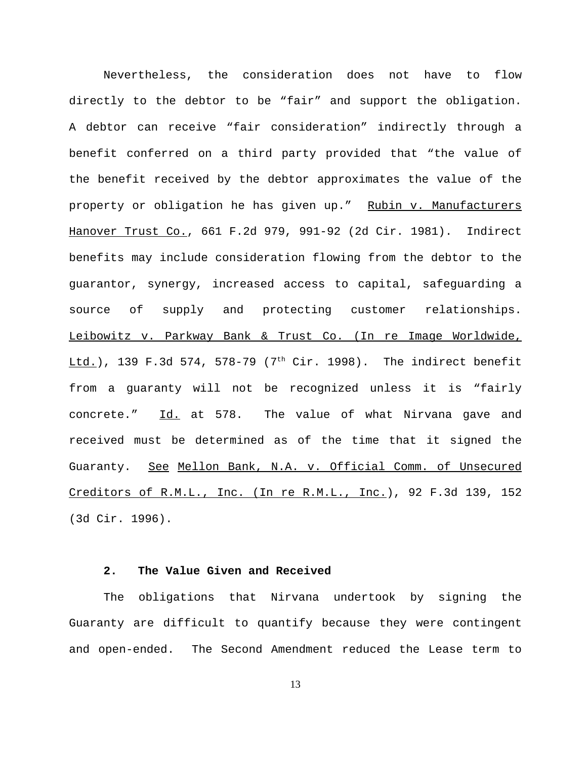Nevertheless, the consideration does not have to flow directly to the debtor to be "fair" and support the obligation. A debtor can receive "fair consideration" indirectly through a benefit conferred on a third party provided that "the value of the benefit received by the debtor approximates the value of the property or obligation he has given up." Rubin v. Manufacturers Hanover Trust Co., 661 F.2d 979, 991-92 (2d Cir. 1981). Indirect benefits may include consideration flowing from the debtor to the guarantor, synergy, increased access to capital, safeguarding a source of supply and protecting customer relationships. Leibowitz v. Parkway Bank & Trust Co. (In re Image Worldwide,  $\underline{Ltd.}$ , 139 F.3d 574, 578-79 (7<sup>th</sup> Cir. 1998). The indirect benefit from a guaranty will not be recognized unless it is "fairly concrete." Id. at 578. The value of what Nirvana gave and received must be determined as of the time that it signed the Guaranty. See Mellon Bank, N.A. v. Official Comm. of Unsecured Creditors of R.M.L., Inc. (In re R.M.L., Inc.), 92 F.3d 139, 152 (3d Cir. 1996).

# **2. The Value Given and Received**

The obligations that Nirvana undertook by signing the Guaranty are difficult to quantify because they were contingent and open-ended. The Second Amendment reduced the Lease term to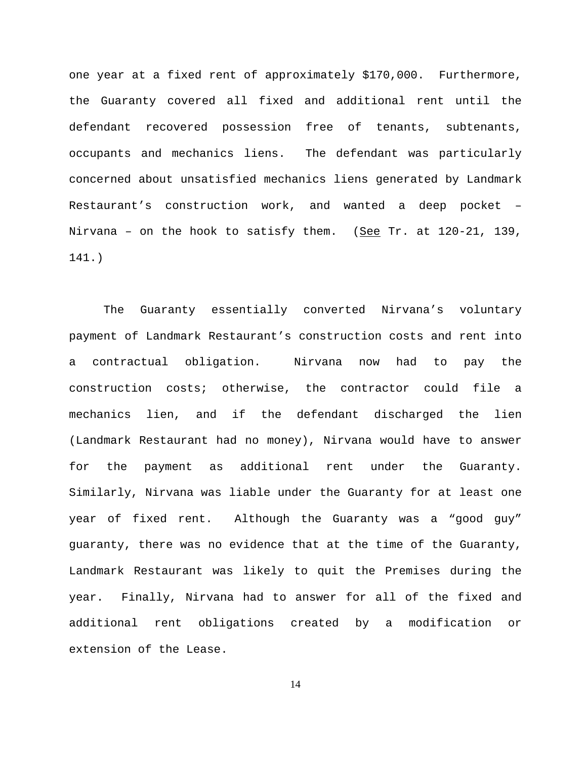one year at a fixed rent of approximately \$170,000. Furthermore, the Guaranty covered all fixed and additional rent until the defendant recovered possession free of tenants, subtenants, occupants and mechanics liens. The defendant was particularly concerned about unsatisfied mechanics liens generated by Landmark Restaurant's construction work, and wanted a deep pocket – Nirvana - on the hook to satisfy them. (See Tr. at 120-21, 139, 141.)

The Guaranty essentially converted Nirvana's voluntary payment of Landmark Restaurant's construction costs and rent into a contractual obligation. Nirvana now had to pay the construction costs; otherwise, the contractor could file a mechanics lien, and if the defendant discharged the lien (Landmark Restaurant had no money), Nirvana would have to answer for the payment as additional rent under the Guaranty. Similarly, Nirvana was liable under the Guaranty for at least one year of fixed rent. Although the Guaranty was a "good guy" guaranty, there was no evidence that at the time of the Guaranty, Landmark Restaurant was likely to quit the Premises during the year. Finally, Nirvana had to answer for all of the fixed and additional rent obligations created by a modification or extension of the Lease.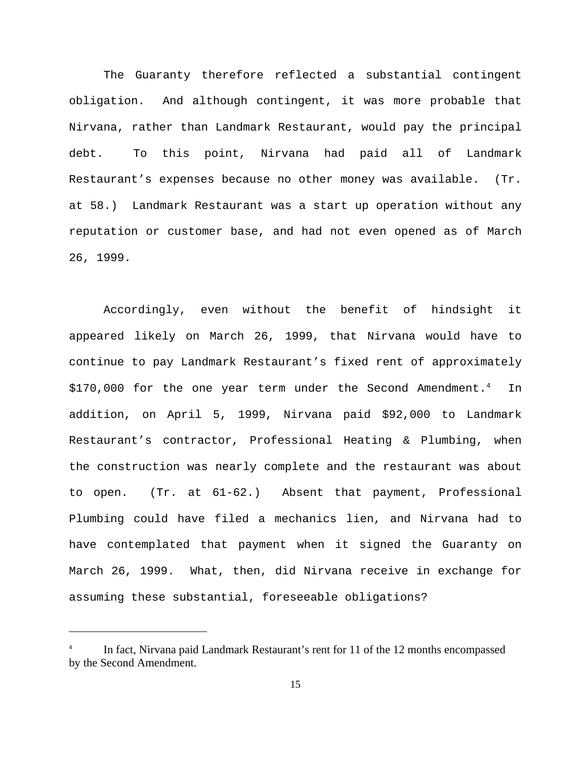The Guaranty therefore reflected a substantial contingent obligation. And although contingent, it was more probable that Nirvana, rather than Landmark Restaurant, would pay the principal debt. To this point, Nirvana had paid all of Landmark Restaurant's expenses because no other money was available. (Tr. at 58.) Landmark Restaurant was a start up operation without any reputation or customer base, and had not even opened as of March 26, 1999.

Accordingly, even without the benefit of hindsight it appeared likely on March 26, 1999, that Nirvana would have to continue to pay Landmark Restaurant's fixed rent of approximately \$170,000 for the one year term under the Second Amendment.<sup>4</sup> In addition, on April 5, 1999, Nirvana paid \$92,000 to Landmark Restaurant's contractor, Professional Heating & Plumbing, when the construction was nearly complete and the restaurant was about to open. (Tr. at 61-62.) Absent that payment, Professional Plumbing could have filed a mechanics lien, and Nirvana had to have contemplated that payment when it signed the Guaranty on March 26, 1999. What, then, did Nirvana receive in exchange for assuming these substantial, foreseeable obligations?

<sup>4</sup> In fact, Nirvana paid Landmark Restaurant's rent for 11 of the 12 months encompassed by the Second Amendment.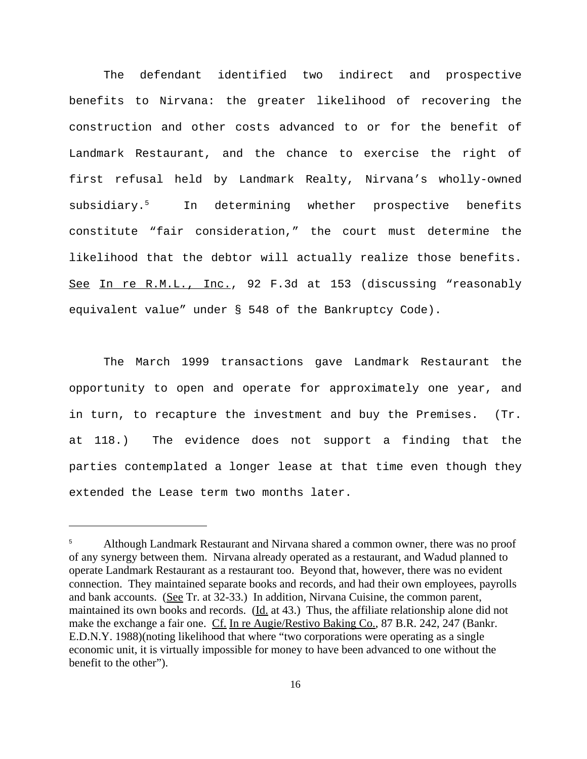The defendant identified two indirect and prospective benefits to Nirvana: the greater likelihood of recovering the construction and other costs advanced to or for the benefit of Landmark Restaurant, and the chance to exercise the right of first refusal held by Landmark Realty, Nirvana's wholly-owned subsidiary.<sup>5</sup> In determining whether prospective benefits constitute "fair consideration," the court must determine the likelihood that the debtor will actually realize those benefits. See In re R.M.L., Inc., 92 F.3d at 153 (discussing "reasonably equivalent value" under § 548 of the Bankruptcy Code).

The March 1999 transactions gave Landmark Restaurant the opportunity to open and operate for approximately one year, and in turn, to recapture the investment and buy the Premises.  $(Tr)$ . at 118.) The evidence does not support a finding that the parties contemplated a longer lease at that time even though they extended the Lease term two months later.

<sup>5</sup> Although Landmark Restaurant and Nirvana shared a common owner, there was no proof of any synergy between them. Nirvana already operated as a restaurant, and Wadud planned to operate Landmark Restaurant as a restaurant too. Beyond that, however, there was no evident connection. They maintained separate books and records, and had their own employees, payrolls and bank accounts. (See Tr. at 32-33.) In addition, Nirvana Cuisine, the common parent, maintained its own books and records. (Id. at 43.) Thus, the affiliate relationship alone did not make the exchange a fair one. Cf. In re Augie/Restivo Baking Co., 87 B.R. 242, 247 (Bankr. E.D.N.Y. 1988)(noting likelihood that where "two corporations were operating as a single economic unit, it is virtually impossible for money to have been advanced to one without the benefit to the other").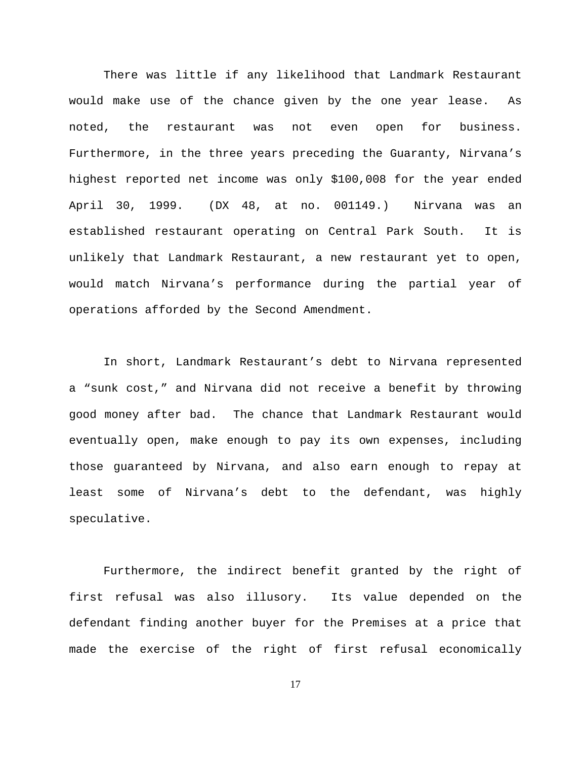There was little if any likelihood that Landmark Restaurant would make use of the chance given by the one year lease. As noted, the restaurant was not even open for business. Furthermore, in the three years preceding the Guaranty, Nirvana's highest reported net income was only \$100,008 for the year ended April 30, 1999. (DX 48, at no. 001149.) Nirvana was an established restaurant operating on Central Park South. It is unlikely that Landmark Restaurant, a new restaurant yet to open, would match Nirvana's performance during the partial year of operations afforded by the Second Amendment.

In short, Landmark Restaurant's debt to Nirvana represented a "sunk cost," and Nirvana did not receive a benefit by throwing good money after bad. The chance that Landmark Restaurant would eventually open, make enough to pay its own expenses, including those guaranteed by Nirvana, and also earn enough to repay at least some of Nirvana's debt to the defendant, was highly speculative.

Furthermore, the indirect benefit granted by the right of first refusal was also illusory. Its value depended on the defendant finding another buyer for the Premises at a price that made the exercise of the right of first refusal economically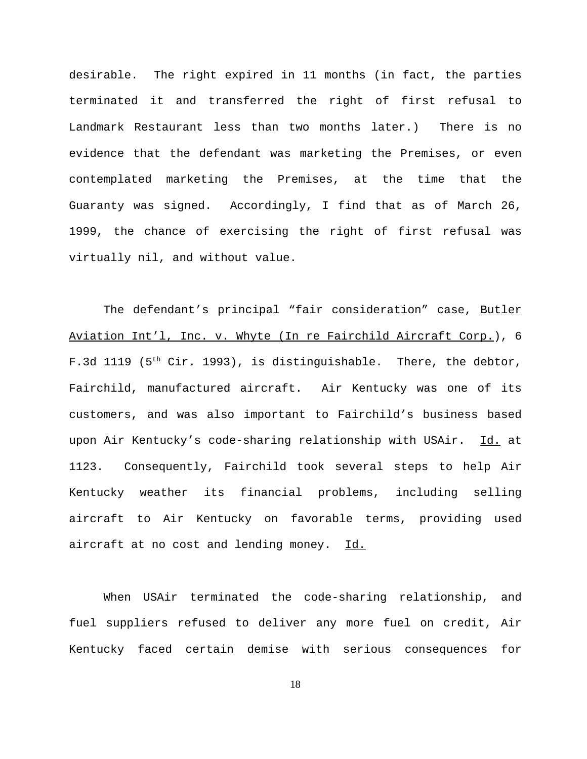desirable. The right expired in 11 months (in fact, the parties terminated it and transferred the right of first refusal to Landmark Restaurant less than two months later.) There is no evidence that the defendant was marketing the Premises, or even contemplated marketing the Premises, at the time that the Guaranty was signed. Accordingly, I find that as of March 26, 1999, the chance of exercising the right of first refusal was virtually nil, and without value.

The defendant's principal "fair consideration" case, Butler Aviation Int'l, Inc. v. Whyte (In re Fairchild Aircraft Corp.), 6 F.3d 1119 (5<sup>th</sup> Cir. 1993), is distinguishable. There, the debtor, Fairchild, manufactured aircraft. Air Kentucky was one of its customers, and was also important to Fairchild's business based upon Air Kentucky's code-sharing relationship with USAir. Id. at 1123. Consequently, Fairchild took several steps to help Air Kentucky weather its financial problems, including selling aircraft to Air Kentucky on favorable terms, providing used aircraft at no cost and lending money. Id.

When USAir terminated the code-sharing relationship, and fuel suppliers refused to deliver any more fuel on credit, Air Kentucky faced certain demise with serious consequences for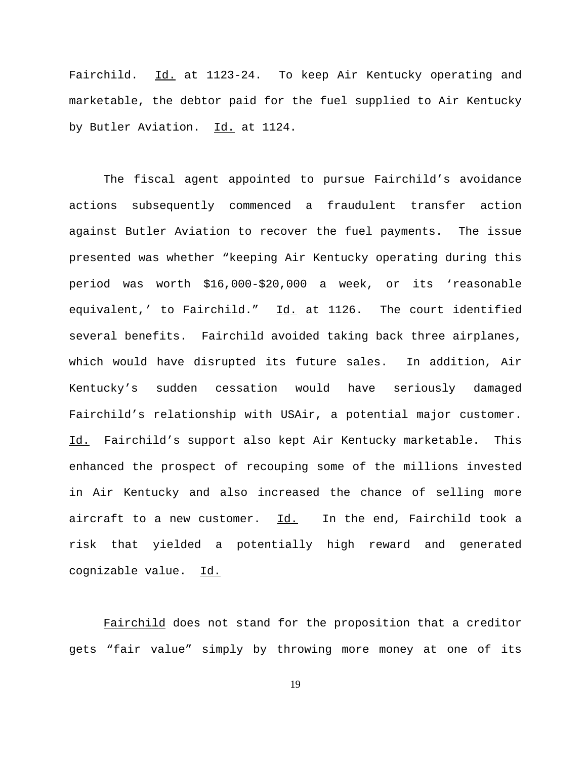Fairchild. Id. at 1123-24. To keep Air Kentucky operating and marketable, the debtor paid for the fuel supplied to Air Kentucky by Butler Aviation. Id. at 1124.

The fiscal agent appointed to pursue Fairchild's avoidance actions subsequently commenced a fraudulent transfer action against Butler Aviation to recover the fuel payments. The issue presented was whether "keeping Air Kentucky operating during this period was worth \$16,000-\$20,000 a week, or its 'reasonable equivalent,' to Fairchild." Id. at 1126. The court identified several benefits. Fairchild avoided taking back three airplanes, which would have disrupted its future sales. In addition, Air Kentucky's sudden cessation would have seriously damaged Fairchild's relationship with USAir, a potential major customer. Id. Fairchild's support also kept Air Kentucky marketable. This enhanced the prospect of recouping some of the millions invested in Air Kentucky and also increased the chance of selling more aircraft to a new customer. Id. In the end, Fairchild took a risk that yielded a potentially high reward and generated cognizable value. Id.

Fairchild does not stand for the proposition that a creditor gets "fair value" simply by throwing more money at one of its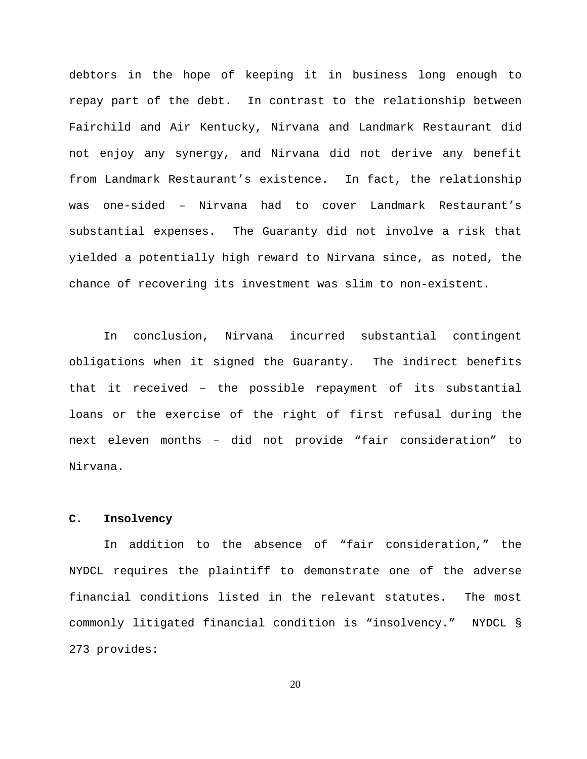debtors in the hope of keeping it in business long enough to repay part of the debt. In contrast to the relationship between Fairchild and Air Kentucky, Nirvana and Landmark Restaurant did not enjoy any synergy, and Nirvana did not derive any benefit from Landmark Restaurant's existence. In fact, the relationship was one-sided – Nirvana had to cover Landmark Restaurant's substantial expenses. The Guaranty did not involve a risk that yielded a potentially high reward to Nirvana since, as noted, the chance of recovering its investment was slim to non-existent.

In conclusion, Nirvana incurred substantial contingent obligations when it signed the Guaranty. The indirect benefits that it received – the possible repayment of its substantial loans or the exercise of the right of first refusal during the next eleven months – did not provide "fair consideration" to Nirvana.

# **C. Insolvency**

In addition to the absence of "fair consideration," the NYDCL requires the plaintiff to demonstrate one of the adverse financial conditions listed in the relevant statutes. The most commonly litigated financial condition is "insolvency." NYDCL § 273 provides: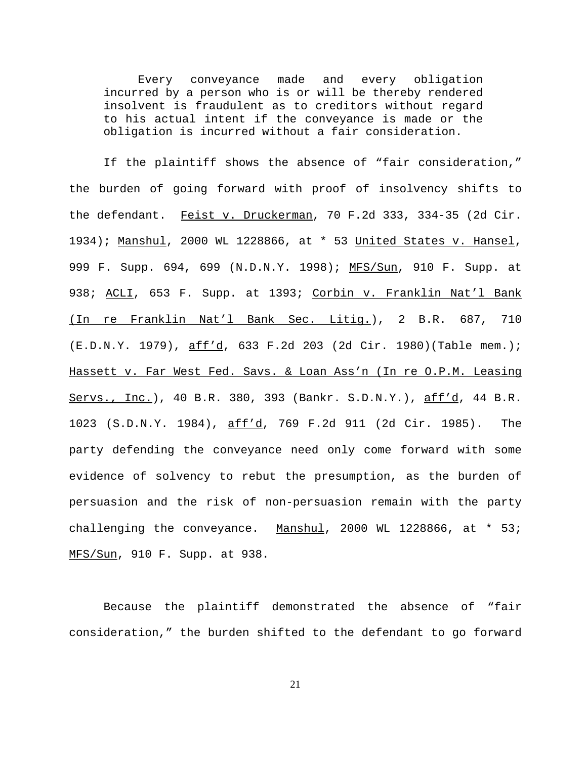Every conveyance made and every obligation incurred by a person who is or will be thereby rendered insolvent is fraudulent as to creditors without regard to his actual intent if the conveyance is made or the obligation is incurred without a fair consideration.

If the plaintiff shows the absence of "fair consideration," the burden of going forward with proof of insolvency shifts to the defendant. Feist v. Druckerman, 70 F.2d 333, 334-35 (2d Cir. 1934); Manshul, 2000 WL 1228866, at \* 53 United States v. Hansel, 999 F. Supp. 694, 699 (N.D.N.Y. 1998); MFS/Sun, 910 F. Supp. at 938; <u>ACLI</u>, 653 F. Supp. at 1393; <u>Corbin v. Franklin Nat'l Bank</u> (In re Franklin Nat'l Bank Sec. Litig.), 2 B.R. 687, 710 (E.D.N.Y. 1979), aff'd, 633 F.2d 203 (2d Cir. 1980)(Table mem.); Hassett v. Far West Fed. Savs. & Loan Ass'n (In re O.P.M. Leasing Servs., Inc.), 40 B.R. 380, 393 (Bankr. S.D.N.Y.), aff'd, 44 B.R. 1023 (S.D.N.Y. 1984), aff'd, 769 F.2d 911 (2d Cir. 1985). The party defending the conveyance need only come forward with some evidence of solvency to rebut the presumption, as the burden of persuasion and the risk of non-persuasion remain with the party challenging the conveyance. Manshul, 2000 WL 1228866, at \* 53; MFS/Sun, 910 F. Supp. at 938.

Because the plaintiff demonstrated the absence of "fair consideration," the burden shifted to the defendant to go forward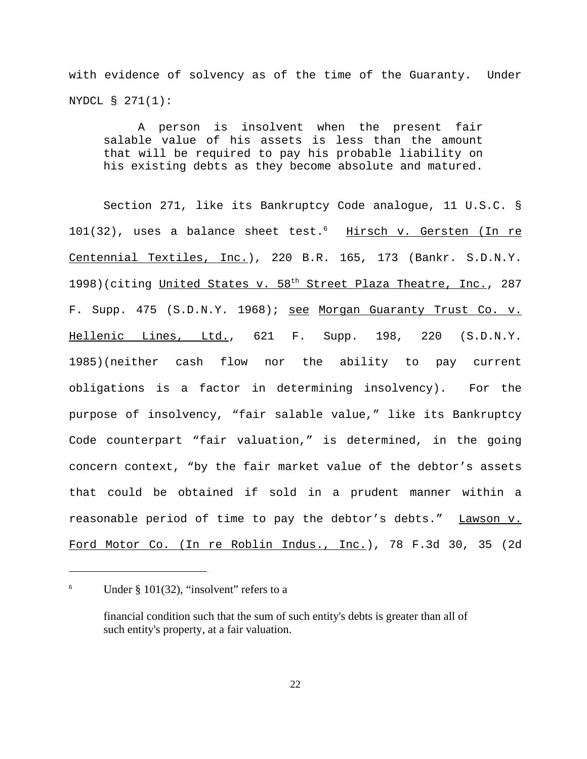with evidence of solvency as of the time of the Guaranty. Under NYDCL § 271(1):

A person is insolvent when the present fair salable value of his assets is less than the amount that will be required to pay his probable liability on his existing debts as they become absolute and matured.

Section 271, like its Bankruptcy Code analogue, 11 U.S.C. § 101(32), uses a balance sheet test.<sup>6</sup> Hirsch v. Gersten (In re Centennial Textiles, Inc.), 220 B.R. 165, 173 (Bankr. S.D.N.Y. 1998)(citing United States v. 58<sup>th</sup> Street Plaza Theatre, Inc., 287 F. Supp. 475 (S.D.N.Y. 1968); see Morgan Guaranty Trust Co. v. Hellenic Lines, Ltd., 621 F. Supp. 198, 220 (S.D.N.Y. 1985)(neither cash flow nor the ability to pay current obligations is a factor in determining insolvency). For the purpose of insolvency, "fair salable value," like its Bankruptcy Code counterpart "fair valuation," is determined, in the going concern context, "by the fair market value of the debtor's assets that could be obtained if sold in a prudent manner within a reasonable period of time to pay the debtor's debts." Lawson v. Ford Motor Co. (In re Roblin Indus., Inc.), 78 F.3d 30, 35 (2d

<sup>&</sup>lt;sup>6</sup> Under § 101(32), "insolvent" refers to a

financial condition such that the sum of such entity's debts is greater than all of such entity's property, at a fair valuation.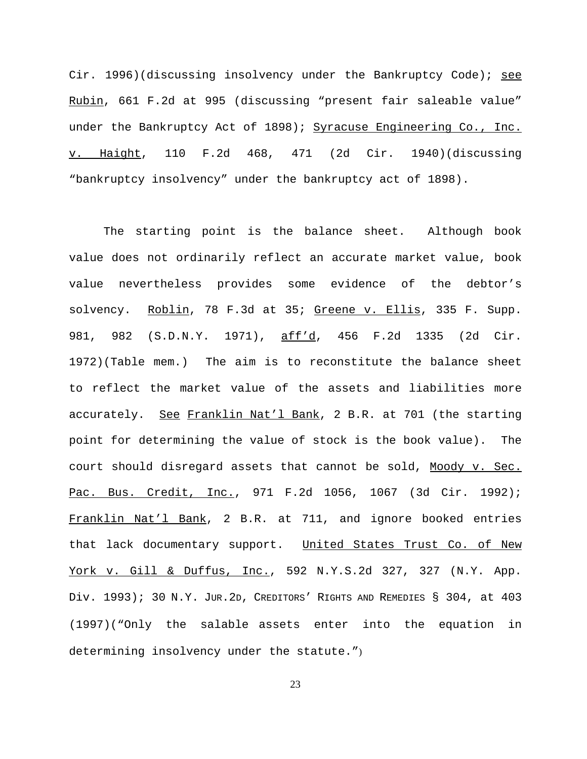Cir. 1996)(discussing insolvency under the Bankruptcy Code); see Rubin, 661 F.2d at 995 (discussing "present fair saleable value" under the Bankruptcy Act of 1898); Syracuse Engineering Co., Inc. v. Haight, 110 F.2d 468, 471 (2d Cir. 1940)(discussing "bankruptcy insolvency" under the bankruptcy act of 1898).

The starting point is the balance sheet. Although book value does not ordinarily reflect an accurate market value, book value nevertheless provides some evidence of the debtor's solvency. Roblin, 78 F.3d at 35; Greene v. Ellis, 335 F. Supp. 981, 982 (S.D.N.Y. 1971), aff'd, 456 F.2d 1335 (2d Cir. 1972)(Table mem.) The aim is to reconstitute the balance sheet to reflect the market value of the assets and liabilities more accurately. See Franklin Nat'l Bank, 2 B.R. at 701 (the starting point for determining the value of stock is the book value). The court should disregard assets that cannot be sold, Moody v. Sec. Pac. Bus. Credit, Inc., 971 F.2d 1056, 1067 (3d Cir. 1992); Franklin Nat'l Bank, 2 B.R. at 711, and ignore booked entries that lack documentary support. United States Trust Co. of New York v. Gill & Duffus, Inc., 592 N.Y.S.2d 327, 327 (N.Y. App. Div. 1993); 30 N.Y. JUR.2D, CREDITORS' RIGHTS AND REMEDIES § 304, at 403 (1997)("Only the salable assets enter into the equation in determining insolvency under the statute.")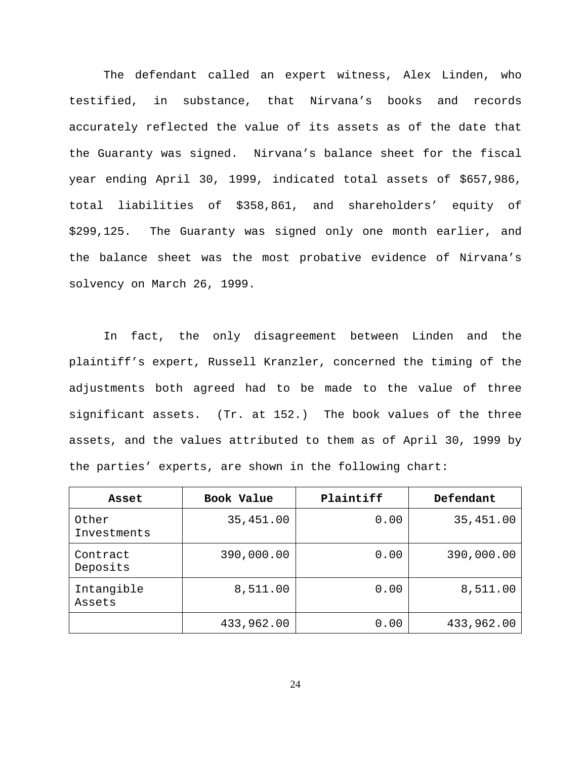The defendant called an expert witness, Alex Linden, who testified, in substance, that Nirvana's books and records accurately reflected the value of its assets as of the date that the Guaranty was signed. Nirvana's balance sheet for the fiscal year ending April 30, 1999, indicated total assets of \$657,986, total liabilities of \$358,861, and shareholders' equity of \$299,125. The Guaranty was signed only one month earlier, and the balance sheet was the most probative evidence of Nirvana's solvency on March 26, 1999.

In fact, the only disagreement between Linden and the plaintiff's expert, Russell Kranzler, concerned the timing of the adjustments both agreed had to be made to the value of three significant assets. (Tr. at 152.) The book values of the three assets, and the values attributed to them as of April 30, 1999 by the parties' experts, are shown in the following chart:

| Asset                | Book Value | Plaintiff | Defendant  |
|----------------------|------------|-----------|------------|
| Other<br>Investments | 35,451.00  | 0.00      | 35,451.00  |
| Contract<br>Deposits | 390,000.00 | 0.00      | 390,000.00 |
| Intangible<br>Assets | 8,511.00   | 0.00      | 8,511.00   |
|                      | 433,962.00 | 0.00      | 433,962.00 |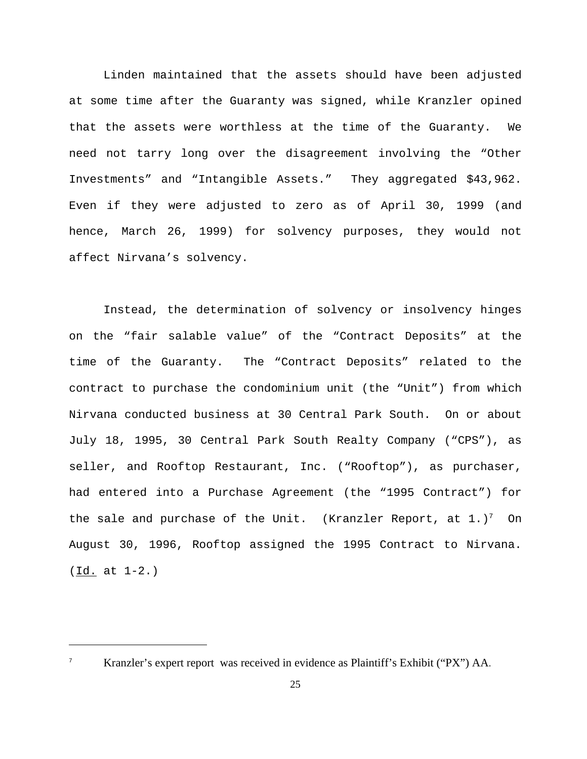Linden maintained that the assets should have been adjusted at some time after the Guaranty was signed, while Kranzler opined that the assets were worthless at the time of the Guaranty. We need not tarry long over the disagreement involving the "Other Investments" and "Intangible Assets." They aggregated \$43,962. Even if they were adjusted to zero as of April 30, 1999 (and hence, March 26, 1999) for solvency purposes, they would not affect Nirvana's solvency.

Instead, the determination of solvency or insolvency hinges on the "fair salable value" of the "Contract Deposits" at the time of the Guaranty. The "Contract Deposits" related to the contract to purchase the condominium unit (the "Unit") from which Nirvana conducted business at 30 Central Park South. On or about July 18, 1995, 30 Central Park South Realty Company ("CPS"), as seller, and Rooftop Restaurant, Inc. ("Rooftop"), as purchaser, had entered into a Purchase Agreement (the "1995 Contract") for the sale and purchase of the Unit. (Kranzler Report, at  $1.77$  On August 30, 1996, Rooftop assigned the 1995 Contract to Nirvana. (Id. at 1-2.)

Kranzler's expert report was received in evidence as Plaintiff's Exhibit ("PX") AA.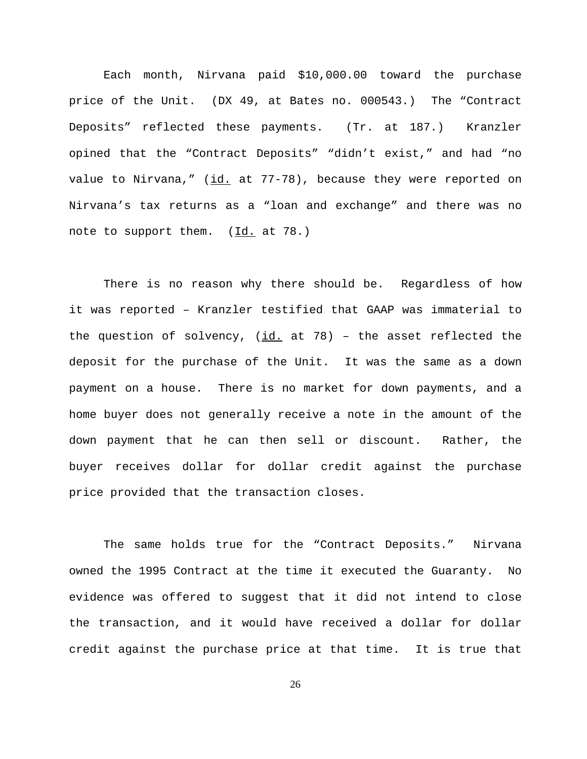Each month, Nirvana paid \$10,000.00 toward the purchase price of the Unit. (DX 49, at Bates no. 000543.) The "Contract Deposits" reflected these payments. (Tr. at 187.) Kranzler opined that the "Contract Deposits" "didn't exist," and had "no value to Nirvana," (id. at 77-78), because they were reported on Nirvana's tax returns as a "loan and exchange" and there was no note to support them. (Id. at 78.)

There is no reason why there should be. Regardless of how it was reported – Kranzler testified that GAAP was immaterial to the question of solvency,  $(i_d, at 78)$  - the asset reflected the deposit for the purchase of the Unit. It was the same as a down payment on a house. There is no market for down payments, and a home buyer does not generally receive a note in the amount of the down payment that he can then sell or discount. Rather, the buyer receives dollar for dollar credit against the purchase price provided that the transaction closes.

The same holds true for the "Contract Deposits." Nirvana owned the 1995 Contract at the time it executed the Guaranty. No evidence was offered to suggest that it did not intend to close the transaction, and it would have received a dollar for dollar credit against the purchase price at that time. It is true that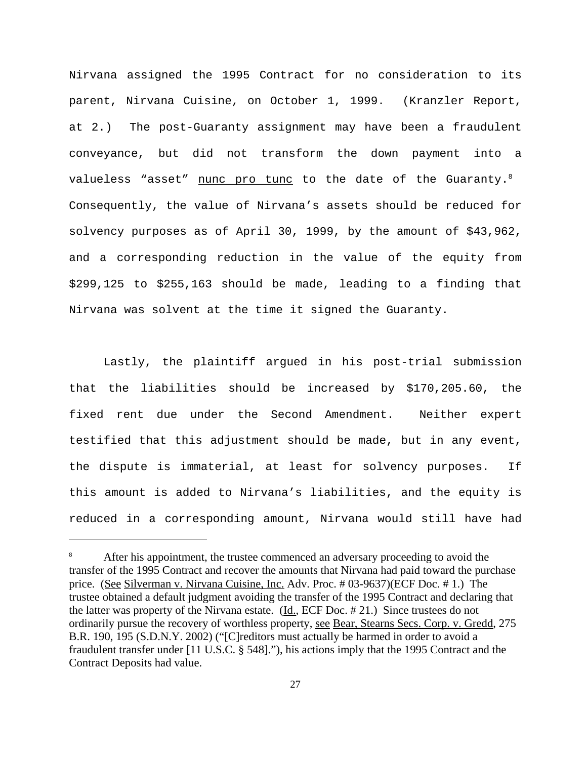Nirvana assigned the 1995 Contract for no consideration to its parent, Nirvana Cuisine, on October 1, 1999. (Kranzler Report, at 2.) The post-Guaranty assignment may have been a fraudulent conveyance, but did not transform the down payment into a valueless "asset" nunc pro tunc to the date of the Guaranty. $8$ Consequently, the value of Nirvana's assets should be reduced for solvency purposes as of April 30, 1999, by the amount of \$43,962, and a corresponding reduction in the value of the equity from \$299,125 to \$255,163 should be made, leading to a finding that Nirvana was solvent at the time it signed the Guaranty.

Lastly, the plaintiff argued in his post-trial submission that the liabilities should be increased by \$170,205.60, the fixed rent due under the Second Amendment. Neither expert testified that this adjustment should be made, but in any event, the dispute is immaterial, at least for solvency purposes. If this amount is added to Nirvana's liabilities, and the equity is reduced in a corresponding amount, Nirvana would still have had

After his appointment, the trustee commenced an adversary proceeding to avoid the transfer of the 1995 Contract and recover the amounts that Nirvana had paid toward the purchase price. (See Silverman v. Nirvana Cuisine, Inc. Adv. Proc. # 03-9637)(ECF Doc. # 1.) The trustee obtained a default judgment avoiding the transfer of the 1995 Contract and declaring that the latter was property of the Nirvana estate.  $(\underline{Id}, \underline{ECF}$  Doc. # 21.) Since trustees do not ordinarily pursue the recovery of worthless property, see Bear, Stearns Secs. Corp. v. Gredd, 275 B.R. 190, 195 (S.D.N.Y. 2002) ("[C]reditors must actually be harmed in order to avoid a fraudulent transfer under [11 U.S.C. § 548]."), his actions imply that the 1995 Contract and the Contract Deposits had value.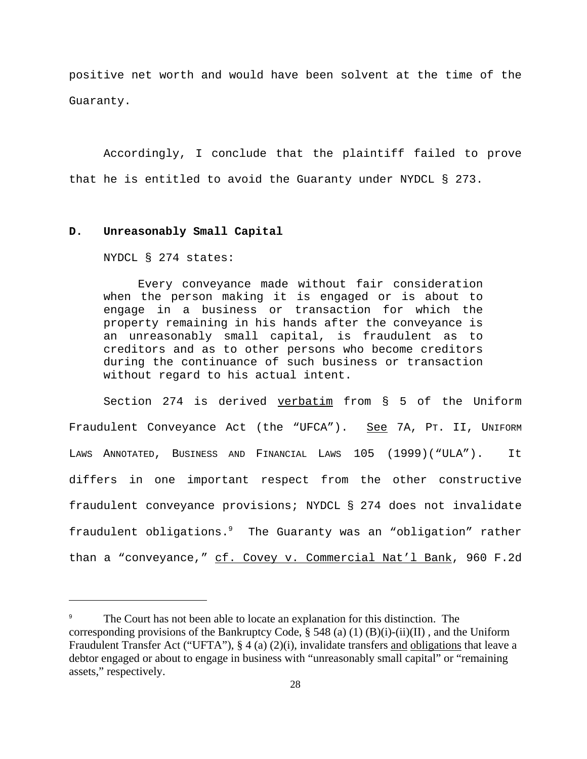positive net worth and would have been solvent at the time of the Guaranty.

Accordingly, I conclude that the plaintiff failed to prove that he is entitled to avoid the Guaranty under NYDCL § 273.

# **D. Unreasonably Small Capital**

NYDCL § 274 states:

Every conveyance made without fair consideration when the person making it is engaged or is about to engage in a business or transaction for which the property remaining in his hands after the conveyance is an unreasonably small capital, is fraudulent as to creditors and as to other persons who become creditors during the continuance of such business or transaction without regard to his actual intent.

Section 274 is derived verbatim from § 5 of the Uniform Fraudulent Conveyance Act (the "UFCA"). See 7A, PT. II, UNIFORM LAWS ANNOTATED, BUSINESS AND FINANCIAL LAWS 105 (1999)("ULA"). It differs in one important respect from the other constructive fraudulent conveyance provisions; NYDCL § 274 does not invalidate fraudulent obligations.9 The Guaranty was an "obligation" rather than a "conveyance," cf. Covey v. Commercial Nat'l Bank, 960 F.2d

The Court has not been able to locate an explanation for this distinction. The corresponding provisions of the Bankruptcy Code,  $\S$  548 (a) (1) (B)(i)-(ii)(II), and the Uniform Fraudulent Transfer Act ("UFTA"), § 4 (a) (2)(i), invalidate transfers and obligations that leave a debtor engaged or about to engage in business with "unreasonably small capital" or "remaining assets," respectively.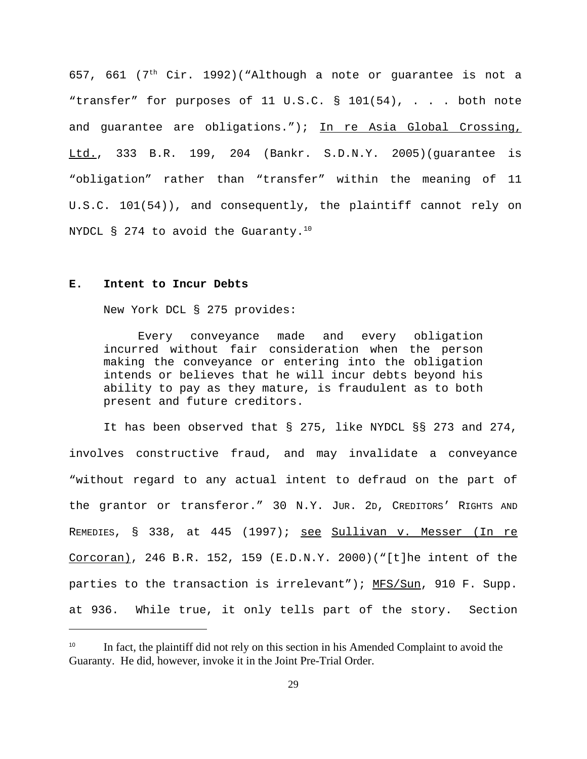657, 661 ( $7<sup>th</sup>$  Cir. 1992)("Although a note or quarantee is not a "transfer" for purposes of 11 U.S.C. § 101(54), . . . both note and guarantee are obligations."); In re Asia Global Crossing, Ltd., 333 B.R. 199, 204 (Bankr. S.D.N.Y. 2005)(guarantee is "obligation" rather than "transfer" within the meaning of 11 U.S.C. 101(54)), and consequently, the plaintiff cannot rely on NYDCL § 274 to avoid the Guaranty.<sup>10</sup>

# **E. Intent to Incur Debts**

New York DCL § 275 provides:

Every conveyance made and every obligation incurred without fair consideration when the person making the conveyance or entering into the obligation intends or believes that he will incur debts beyond his ability to pay as they mature, is fraudulent as to both present and future creditors.

It has been observed that § 275, like NYDCL §§ 273 and 274, involves constructive fraud, and may invalidate a conveyance "without regard to any actual intent to defraud on the part of the grantor or transferor." 30 N.Y. JUR. 2D, CREDITORS' RIGHTS AND REMEDIES, § 338, at 445 (1997); see Sullivan v. Messer (In re  $Corcoran)$ , 246 B.R. 152, 159 (E.D.N.Y. 2000)("[t]he intent of the parties to the transaction is irrelevant"); MFS/Sun, 910 F. Supp. at 936. While true, it only tells part of the story. Section

In fact, the plaintiff did not rely on this section in his Amended Complaint to avoid the Guaranty. He did, however, invoke it in the Joint Pre-Trial Order.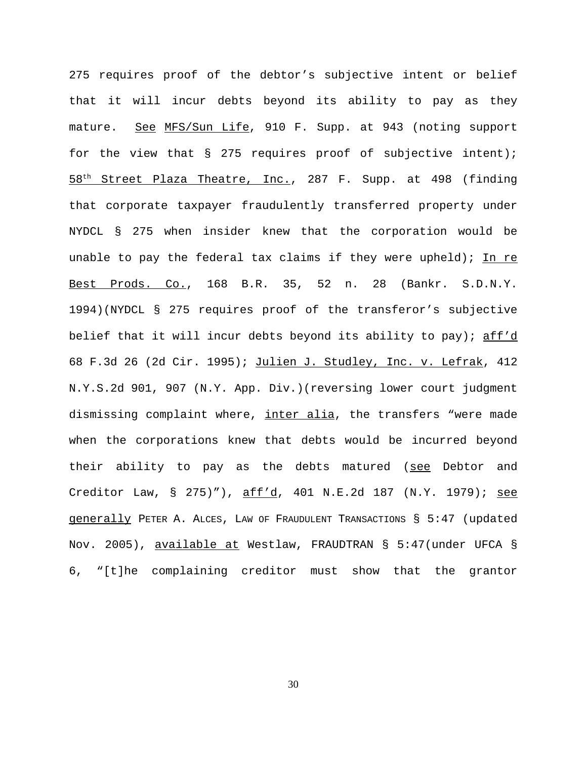275 requires proof of the debtor's subjective intent or belief that it will incur debts beyond its ability to pay as they mature. See MFS/Sun Life, 910 F. Supp. at 943 (noting support for the view that § 275 requires proof of subjective intent);  $58<sup>th</sup>$  Street Plaza Theatre, Inc., 287 F. Supp. at 498 (finding that corporate taxpayer fraudulently transferred property under NYDCL § 275 when insider knew that the corporation would be unable to pay the federal tax claims if they were upheld); In re Best Prods. Co., 168 B.R. 35, 52 n. 28 (Bankr. S.D.N.Y. 1994)(NYDCL § 275 requires proof of the transferor's subjective belief that it will incur debts beyond its ability to pay); aff'd 68 F.3d 26 (2d Cir. 1995); Julien J. Studley, Inc. v. Lefrak, 412 N.Y.S.2d 901, 907 (N.Y. App. Div.)(reversing lower court judgment dismissing complaint where, inter alia, the transfers "were made when the corporations knew that debts would be incurred beyond their ability to pay as the debts matured (see Debtor and Creditor Law, § 275)"), aff'd, 401 N.E.2d 187 (N.Y. 1979); see generally PETER A. ALCES, LAW OF FRAUDULENT TRANSACTIONS § 5:47 (updated Nov. 2005), available at Westlaw, FRAUDTRAN § 5:47(under UFCA § 6, "[t]he complaining creditor must show that the grantor